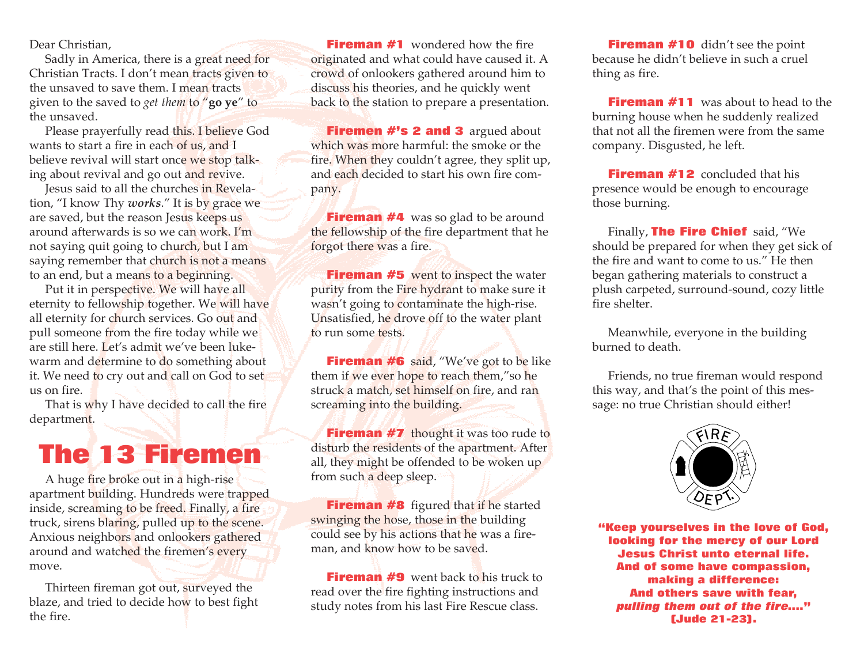Dear Christian,

Sadly in America, there is a great need for Christian Tracts. I don't mean tracts given to the unsaved to save them. I mean tracts given to the saved to *get them* to "**go ye**" to the unsaved.

Please prayerfully read this. I believe God wants to start a fire in each of us, and I believe revival will start once we stop talking about revival and go out and revive.

Jesus said to all the churches in Revelation, "I know Thy *works*." It is by grace we are saved, but the reason Jesus keeps us around afterwards is so we can work. I'm not saying quit going to church, but I am saying remember that church is not a means to an end, but a means to a beginning.

Put it in perspective. We will have all eternity to fellowship together. We will have all eternity for church services. Go out and pull someone from the fire today while we are still here. Let's admit we've been lukewarm and determine to do something about it. We need to cry out and call on God to set us on fire.

That is why I have decided to call the fire department.

## The 13 Firemen

A huge fire broke out in a high-rise apartment building. Hundreds were trapped inside, screaming to be freed. Finally, a fire truck, sirens blaring, pulled up to the scene. Anxious neighbors and onlookers gathered around and watched the firemen's every move.

Thirteen fireman got out, surveyed the blaze, and tried to decide how to best fight the fire.

**Fireman #1** wondered how the fire originated and what could have caused it. A crowd of onlookers gathered around him to discuss his theories, and he quickly went back to the station to prepare a presentation.

Firemen #'s 2 and 3 argued about which was more harmful: the smoke or the fire. When they couldn't agree, they split up, and each decided to start his own fire company.

**Fireman #4** was so glad to be around the fellowship of the fire department that he forgot there was a fire.

**Fireman #5** went to inspect the water purity from the Fire hydrant to make sure it wasn't going to contaminate the high-rise. Unsatisfied, he drove off to the water plant to run some tests.

**Fireman #6** said, "We've got to be like them if we ever hope to reach them,"so he struck a match, set himself on fire, and ran screaming into the building.

**Fireman #7** thought it was too rude to disturb the residents of the apartment. After all, they might be offended to be woken up from such a deep sleep.

**Fireman #8** figured that if he started swinging the hose, those in the building could see by his actions that he was a fireman, and know how to be saved.

**Fireman #9** went back to his truck to read over the fire fighting instructions and study notes from his last Fire Rescue class.

**Fireman #10** didn't see the point because he didn't believe in such a cruel thing as fire.

**Fireman #11** was about to head to the burning house when he suddenly realized that not all the firemen were from the same company. Disgusted, he left.

**Fireman #12** concluded that his presence would be enough to encourage those burning.

Finally, **The Fire Chief** said, "We should be prepared for when they get sick of the fire and want to come to us." He then began gathering materials to construct a plush carpeted, surround-sound, cozy little fire shelter.

Meanwhile, everyone in the building burned to death.

Friends, no true fireman would respond this way, and that's the point of this message: no true Christian should either!



"Keep yourselves in the love of God, looking for the mercy of our Lord Jesus Christ unto eternal life. And of some have compassion, making a difference: And others save with fear, pulling them out of the fire...." (Jude 21-23).